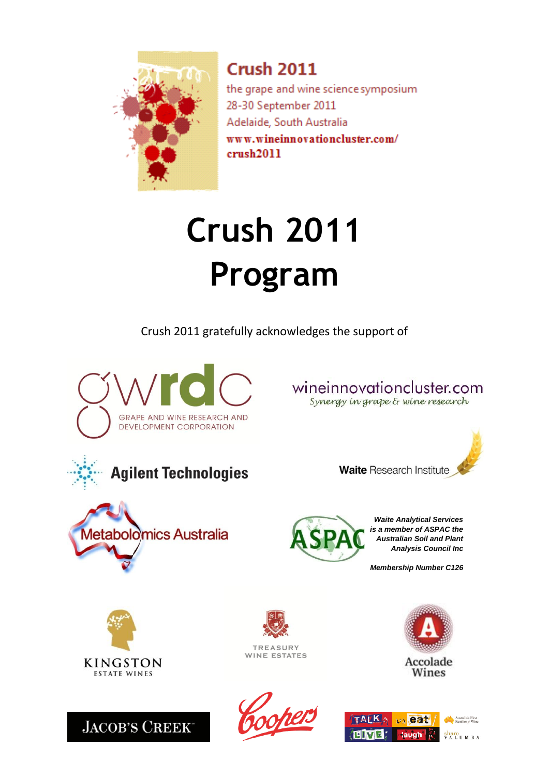

**Crush 2011** the grape and wine science symposium 28-30 September 2011 Adelaide, South Australia www.wineinnovationcluster.com/  $crush2011$ 

# **Crush 2011 Program**

Crush 2011 gratefully acknowledges the support of





wineinnovationcluster.com Synergy in grape & wine research







*Waite Analytical Services is a member of ASPAC the Australian Soil and Plant Analysis Council Inc*

*Membership Number C126*



**JACOB'S CREEK** 



**TREASURY WINE ESTATES** 





Accolade Wines

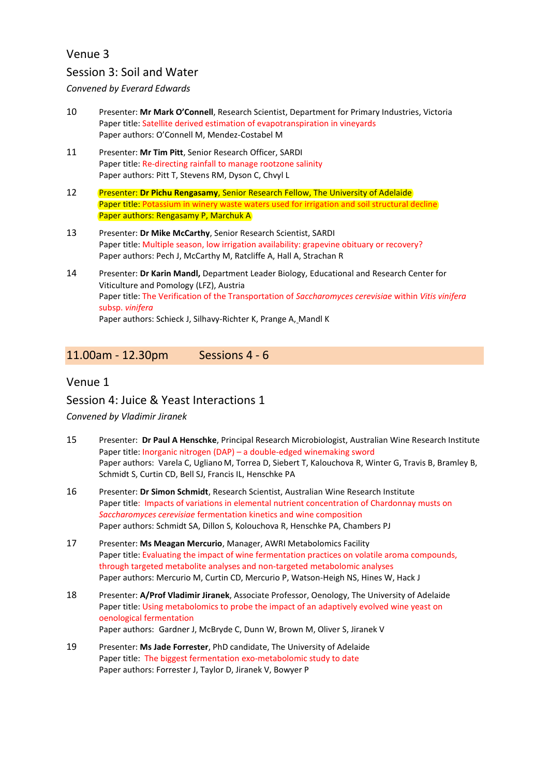### Venue 3

### Session 3: Soil and Water

*Convened by Everard Edwards*

- 10 Presenter: **Mr Mark O'Connell**, Research Scientist, Department for Primary Industries, Victoria Paper title: Satellite derived estimation of evapotranspiration in vineyards Paper authors: O'Connell M, Mendez-Costabel M
- 11 Presenter: **Mr Tim Pitt**, Senior Research Officer, SARDI Paper title: Re-directing rainfall to manage rootzone salinity Paper authors: Pitt T, Stevens RM, Dyson C, Chvyl L
- 12 Presenter: **Dr Pichu Rengasamy**, Senior Research Fellow, The University of Adelaide Paper title: Potassium in winery waste waters used for irrigation and soil structural decline Paper authors: Rengasamy P, Marchuk A
- 13 Presenter: **Dr Mike McCarthy**, Senior Research Scientist, SARDI Paper title: Multiple season, low irrigation availability: grapevine obituary or recovery? Paper authors: Pech J, McCarthy M, Ratcliffe A, Hall A, Strachan R
- 14 Presenter: **Dr Karin Mandl,** Department Leader Biology, Educational and Research Center for Viticulture and Pomology (LFZ), Austria Paper title: The Verification of the Transportation of *Saccharomyces cerevisiae* within *Vitis vinifera* subsp. *vinifera* Paper authors: Schieck J, Silhavy-Richter K, Prange A, Mandl K

### 11.00am - 12.30pm Sessions 4 - 6

#### Venue 1

Session 4: Juice & Yeast Interactions 1

*Convened by Vladimir Jiranek*

- 15 Presenter: **Dr Paul A Henschke**, Principal Research Microbiologist, Australian Wine Research Institute Paper title: Inorganic nitrogen (DAP) – a double-edged winemaking sword Paper authors: Varela C, Ugliano M, Torrea D, Siebert T, Kalouchova R, Winter G, Travis B, Bramley B, Schmidt S, Curtin CD, Bell SJ, Francis IL, Henschke PA
- 16 Presenter: **Dr Simon Schmidt**, Research Scientist, Australian Wine Research Institute Paper title: Impacts of variations in elemental nutrient concentration of Chardonnay musts on *Saccharomyces cerevisiae* fermentation kinetics and wine composition Paper authors: Schmidt SA, Dillon S, Kolouchova R, Henschke PA, Chambers PJ
- 17 Presenter: **Ms Meagan Mercurio**, Manager, AWRI Metabolomics Facility Paper title: Evaluating the impact of wine fermentation practices on volatile aroma compounds, through targeted metabolite analyses and non-targeted metabolomic analyses Paper authors: Mercurio M, Curtin CD, Mercurio P, Watson-Heigh NS, Hines W, Hack J
- 18 Presenter: **A/Prof Vladimir Jiranek**, Associate Professor, Oenology, The University of Adelaide Paper title: Using metabolomics to probe the impact of an adaptively evolved wine yeast on oenological fermentation Paper authors: Gardner J, McBryde C, Dunn W, Brown M, Oliver S, Jiranek V
- 19 Presenter: **Ms Jade Forrester**, PhD candidate, The University of Adelaide Paper title: The biggest fermentation exo-metabolomic study to date Paper authors: Forrester J, Taylor D, Jiranek V, Bowyer P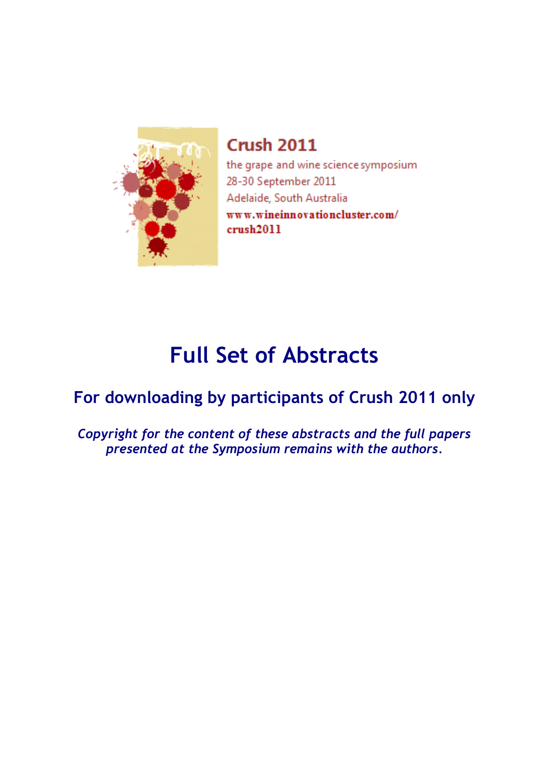

**Crush 2011** the grape and wine science symposium 28-30 September 2011 Adelaide, South Australia www.wineinnovationcluster.com/  $crush2011$ 

## **Full Set of Abstracts**

### **For downloading by participants of Crush 2011 only**

*Copyright for the content of these abstracts and the full papers presented at the Symposium remains with the authors.*